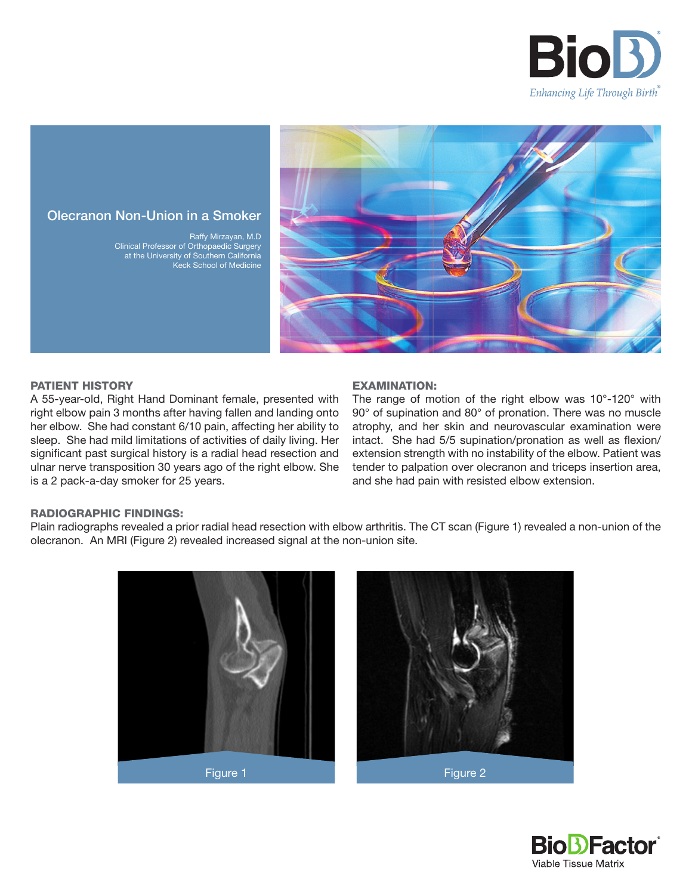



# Olecranon Non-Union in a Smoker

Raffy Mirzayan, M.D Clinical Professor of Orthopaedic Surgery at the University of Southern California Keck School of Medicine

## PATIENT HISTORY

A 55-year-old, Right Hand Dominant female, presented with right elbow pain 3 months after having fallen and landing onto her elbow. She had constant 6/10 pain, affecting her ability to sleep. She had mild limitations of activities of daily living. Her significant past surgical history is a radial head resection and ulnar nerve transposition 30 years ago of the right elbow. She is a 2 pack-a-day smoker for 25 years.

#### EXAMINATION:

The range of motion of the right elbow was 10°-120° with 90° of supination and 80° of pronation. There was no muscle atrophy, and her skin and neurovascular examination were intact. She had 5/5 supination/pronation as well as flexion/ extension strength with no instability of the elbow. Patient was tender to palpation over olecranon and triceps insertion area, and she had pain with resisted elbow extension.

#### RADIOGRAPHIC FINDINGS:

Plain radiographs revealed a prior radial head resection with elbow arthritis. The CT scan (Figure 1) revealed a non-union of the olecranon. An MRI (Figure 2) revealed increased signal at the non-union site.